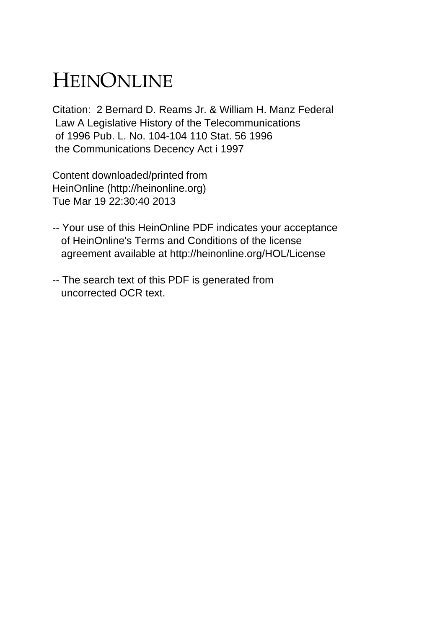## HEINONLINE

Citation: 2 Bernard D. Reams Jr. & William H. Manz Federal Law A Legislative History of the Telecommunications of 1996 Pub. L. No. 104-104 110 Stat. 56 1996 the Communications Decency Act i 1997

Content downloaded/printed from HeinOnline (http://heinonline.org) Tue Mar 19 22:30:40 2013

- -- Your use of this HeinOnline PDF indicates your acceptance of HeinOnline's Terms and Conditions of the license agreement available at http://heinonline.org/HOL/License
- -- The search text of this PDF is generated from uncorrected OCR text.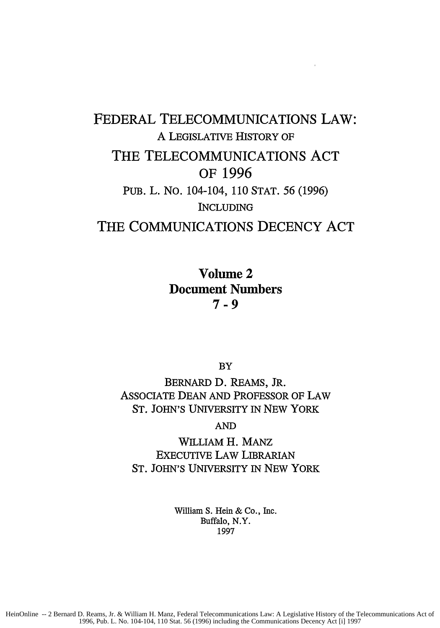## FEDERAL TELECOMMUNICATIONS LAW: A LEGISLATIVE HISTORY OF THE TELECOMMUNICATIONS **ACT** OF **1996 PUB.** L. No. 104-104, 110 STAT. 56 (1996) INCLUDING THE **COMMUNICATIONS DECENCY ACT**

Volume 2 Document Numbers **7-9**

BY

BERNARD D. REAMS, JR. ASSOCIATE DEAN AND PROFESSOR OF LAW **ST.** JOHN'S UNIVERSITY IN NEW YORK

AND

WILLIAM H. MANZ EXECUTIVE LAW LIBRARIAN **ST.** JOHN'S UNIVERSITY IN NEW YORK

> William S. Hein & Co., Inc. Buffalo, N.Y. 1997